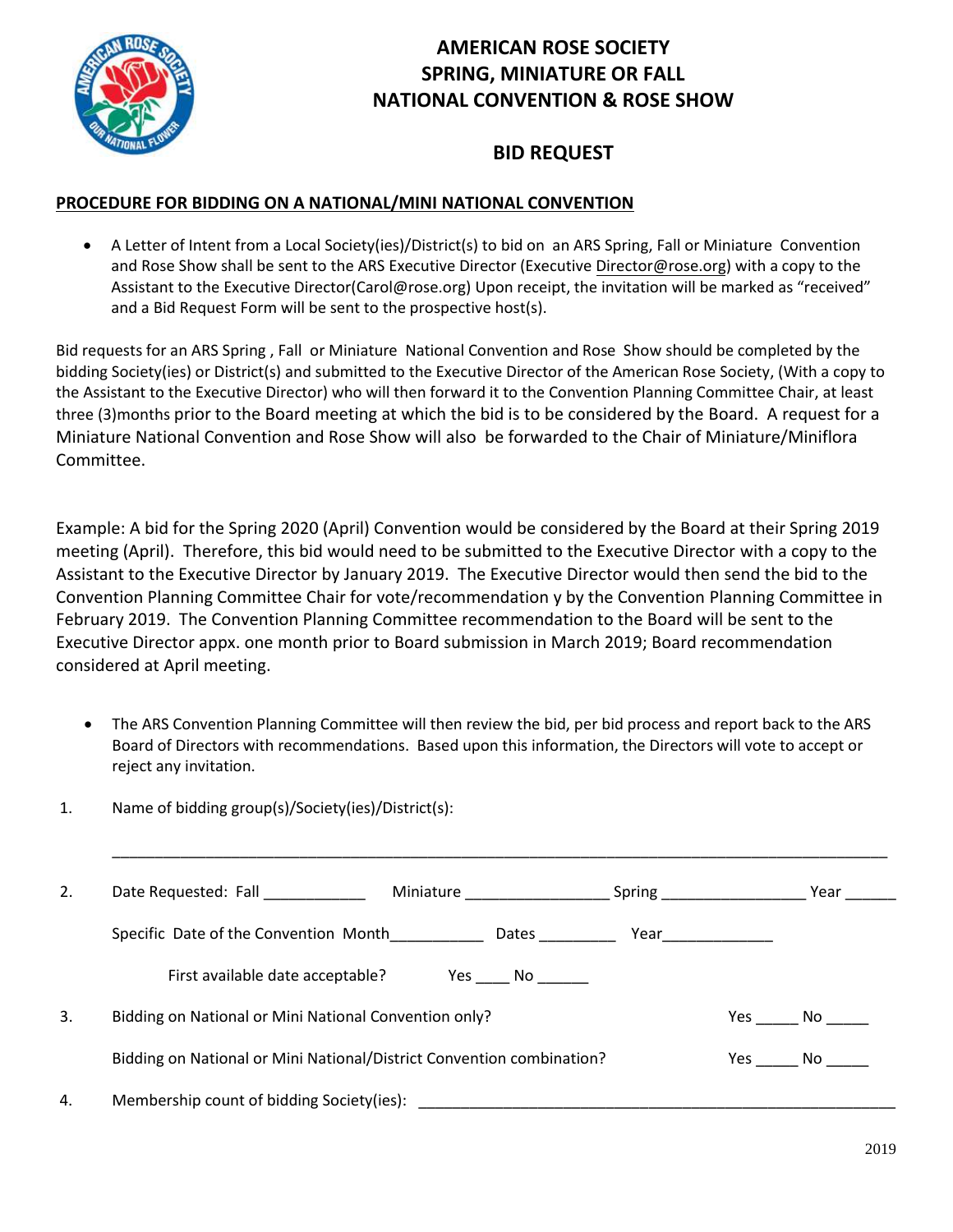

## **AMERICAN ROSE SOCIETY SPRING, MINIATURE OR FALL NATIONAL CONVENTION & ROSE SHOW**

## **BID REQUEST**

## **PROCEDURE FOR BIDDING ON A NATIONAL/MINI NATIONAL CONVENTION**

 A Letter of Intent from a Local Society(ies)/District(s) to bid on an ARS Spring, Fall or Miniature Convention and Rose Show shall be sent to the ARS Executive Director (Executiv[e Director@rose.org\)](mailto:Director@rose.org) with a copy to the Assistant to the Executive Director(Carol@rose.org) Upon receipt, the invitation will be marked as "received" and a Bid Request Form will be sent to the prospective host(s).

Bid requests for an ARS Spring , Fall or Miniature National Convention and Rose Show should be completed by the bidding Society(ies) or District(s) and submitted to the Executive Director of the American Rose Society, (With a copy to the Assistant to the Executive Director) who will then forward it to the Convention Planning Committee Chair, at least three (3)months prior to the Board meeting at which the bid is to be considered by the Board. A request for a Miniature National Convention and Rose Show will also be forwarded to the Chair of Miniature/Miniflora Committee.

Example: A bid for the Spring 2020 (April) Convention would be considered by the Board at their Spring 2019 meeting (April). Therefore, this bid would need to be submitted to the Executive Director with a copy to the Assistant to the Executive Director by January 2019. The Executive Director would then send the bid to the Convention Planning Committee Chair for vote/recommendation y by the Convention Planning Committee in February 2019. The Convention Planning Committee recommendation to the Board will be sent to the Executive Director appx. one month prior to Board submission in March 2019; Board recommendation considered at April meeting.

 The ARS Convention Planning Committee will then review the bid, per bid process and report back to the ARS Board of Directors with recommendations. Based upon this information, the Directors will vote to accept or reject any invitation.

\_\_\_\_\_\_\_\_\_\_\_\_\_\_\_\_\_\_\_\_\_\_\_\_\_\_\_\_\_\_\_\_\_\_\_\_\_\_\_\_\_\_\_\_\_\_\_\_\_\_\_\_\_\_\_\_\_\_\_\_\_\_\_\_\_\_\_\_\_\_\_\_\_\_\_\_\_\_\_\_\_\_\_\_\_\_\_\_\_\_\_

1. Name of bidding group(s)/Society(ies)/District(s):

| 2. |                                                                       | Miniature Miniature | Spring _____________ |        | Year |
|----|-----------------------------------------------------------------------|---------------------|----------------------|--------|------|
|    | Specific Date of the Convention Month                                 | Dates               | $Year$ ear           |        |      |
|    | First available date acceptable?                                      | Yes No              |                      |        |      |
| 3. | Bidding on National or Mini National Convention only?                 |                     |                      | Yes No |      |
|    | Bidding on National or Mini National/District Convention combination? |                     |                      | Yes No |      |
| 4. | Membership count of bidding Society(ies):                             |                     |                      |        |      |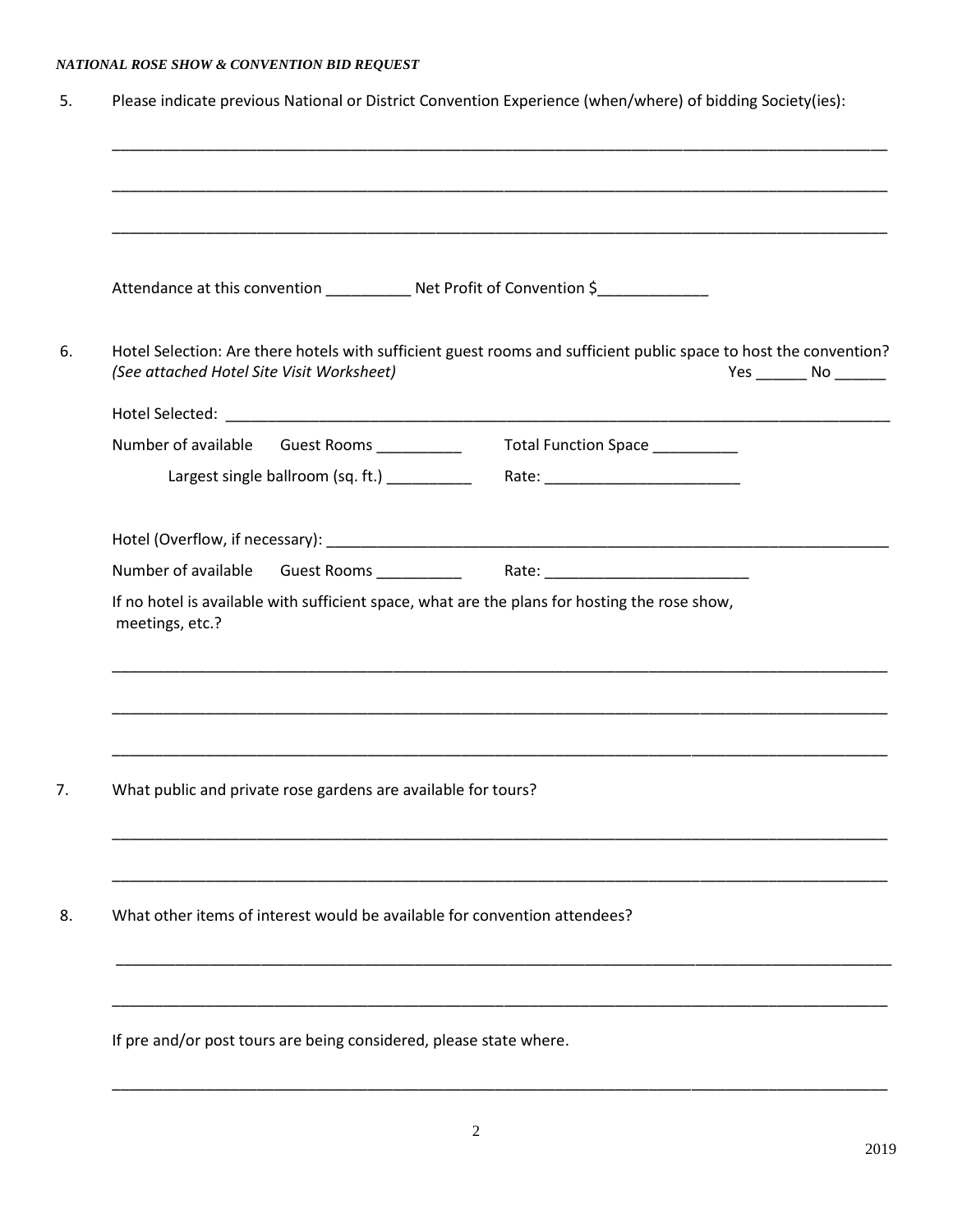## *NATIONAL ROSE SHOW & CONVENTION BID REQUEST*

|                 |                                                                           | ,我们也不能在这里的时候,我们也不能在这里的时候,我们也不能不能不能不能不能不能不能不能不能不能不能不能。""我们的人,我们也不能不能不能不能不能不能不能不能不<br>Attendance at this convention ______________ Net Profit of Convention \$______________ |                                |
|-----------------|---------------------------------------------------------------------------|----------------------------------------------------------------------------------------------------------------------------------------------------------------------------|--------------------------------|
|                 | (See attached Hotel Site Visit Worksheet)                                 | Hotel Selection: Are there hotels with sufficient guest rooms and sufficient public space to host the convention?                                                          | $Yes$ __________ No __________ |
|                 |                                                                           |                                                                                                                                                                            |                                |
|                 | Number of available Guest Rooms __________                                | Total Function Space __________                                                                                                                                            |                                |
|                 | Largest single ballroom (sq. ft.) _________                               |                                                                                                                                                                            |                                |
|                 |                                                                           |                                                                                                                                                                            |                                |
|                 |                                                                           |                                                                                                                                                                            |                                |
|                 |                                                                           | Number of available Guest Rooms _____________ Rate: ____________________________                                                                                           |                                |
| meetings, etc.? |                                                                           | If no hotel is available with sufficient space, what are the plans for hosting the rose show,                                                                              |                                |
|                 | What public and private rose gardens are available for tours?             |                                                                                                                                                                            |                                |
|                 | What other items of interest would be available for convention attendees? |                                                                                                                                                                            |                                |